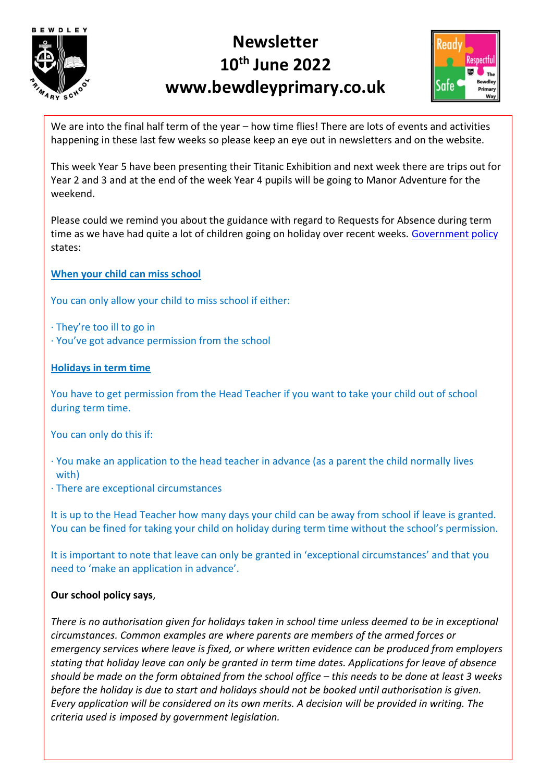

# **Newsletter 10th June 2022 www.bewdleyprimary.co.uk**



We are into the final half term of the year – how time flies! There are lots of events and activities happening in these last few weeks so please keep an eye out in newsletters and on the website.

This week Year 5 have been presenting their Titanic Exhibition and next week there are trips out for Year 2 and 3 and at the end of the week Year 4 pupils will be going to Manor Adventure for the weekend.

Please could we remind you about the guidance with regard to Requests for Absence during term time as we have had quite a lot of children going on holiday over recent weeks. [Government policy](https://www.gov.uk/school-attendance-absence) states:

**When your child can miss school**

You can only allow your child to miss school if either:

- · They're too ill to go in
- · You've got advance permission from the school

#### **Holidays in term time**

You have to get permission from the Head Teacher if you want to take your child out of school during term time.

You can only do this if:

· You make an application to the head teacher in advance (as a parent the child normally lives with)

· There are exceptional circumstances

It is up to the Head Teacher how many days your child can be away from school if leave is granted. You can be fined for taking your child on holiday during term time without the school's permission.

It is important to note that leave can only be granted in 'exceptional circumstances' and that you need to 'make an application in advance'.

## **Our school policy says**,

*There is no authorisation given for holidays taken in school time unless deemed to be in exceptional circumstances. Common examples are where parents are members of the armed forces or emergency services where leave is fixed, or where written evidence can be produced from employers stating that holiday leave can only be granted in term time dates. Applications for leave of absence should be made on the form obtained from the school office – this needs to be done at least 3 weeks before the holiday is due to start and holidays should not be booked until authorisation is given. Every application will be considered on its own merits. A decision will be provided in writing. The criteria used is imposed by government legislation.*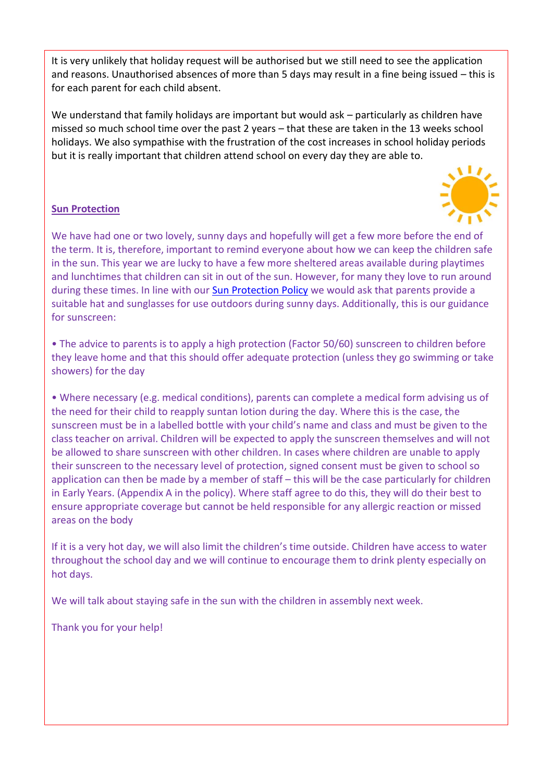It is very unlikely that holiday request will be authorised but we still need to see the application and reasons. Unauthorised absences of more than 5 days may result in a fine being issued – this is for each parent for each child absent.

We understand that family holidays are important but would ask – particularly as children have missed so much school time over the past 2 years – that these are taken in the 13 weeks school holidays. We also sympathise with the frustration of the cost increases in school holiday periods but it is really important that children attend school on every day they are able to.

#### **Sun Protection**



We have had one or two lovely, sunny days and hopefully will get a few more before the end of the term. It is, therefore, important to remind everyone about how we can keep the children safe in the sun. This year we are lucky to have a few more sheltered areas available during playtimes and lunchtimes that children can sit in out of the sun. However, for many they love to run around during these times. In line with our [Sun Protection Policy](https://www.bewdleyprimary.co.uk/attachments/download.asp?file=2729&type=pdf) we would ask that parents provide a suitable hat and sunglasses for use outdoors during sunny days. Additionally, this is our guidance for sunscreen:

• The advice to parents is to apply a high protection (Factor 50/60) sunscreen to children before they leave home and that this should offer adequate protection (unless they go swimming or take showers) for the day

• Where necessary (e.g. medical conditions), parents can complete a medical form advising us of the need for their child to reapply suntan lotion during the day. Where this is the case, the sunscreen must be in a labelled bottle with your child's name and class and must be given to the class teacher on arrival. Children will be expected to apply the sunscreen themselves and will not be allowed to share sunscreen with other children. In cases where children are unable to apply their sunscreen to the necessary level of protection, signed consent must be given to school so application can then be made by a member of staff – this will be the case particularly for children in Early Years. (Appendix A in the policy). Where staff agree to do this, they will do their best to ensure appropriate coverage but cannot be held responsible for any allergic reaction or missed areas on the body

If it is a very hot day, we will also limit the children's time outside. Children have access to water throughout the school day and we will continue to encourage them to drink plenty especially on hot days.

We will talk about staying safe in the sun with the children in assembly next week.

Thank you for your help!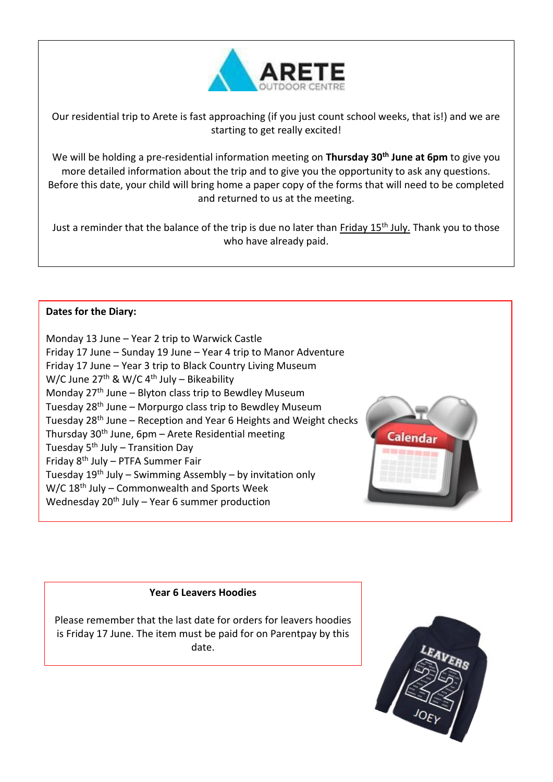

Our residential trip to Arete is fast approaching (if you just count school weeks, that is!) and we are starting to get really excited!

We will be holding a pre-residential information meeting on **Thursday 30th June at 6pm** to give you more detailed information about the trip and to give you the opportunity to ask any questions. Before this date, your child will bring home a paper copy of the forms that will need to be completed and returned to us at the meeting.

Just a reminder that the balance of the trip is due no later than Friday 15<sup>th</sup> July. Thank you to those who have already paid.

## **Dates for the Diary:**

Monday 13 June – Year 2 trip to Warwick Castle Friday 17 June – Sunday 19 June – Year 4 trip to Manor Adventure Friday 17 June – Year 3 trip to Black Country Living Museum W/C June  $27<sup>th</sup>$  & W/C 4<sup>th</sup> July – Bikeability Monday  $27<sup>th</sup>$  June – Blyton class trip to Bewdley Museum Tuesday 28th June – Morpurgo class trip to Bewdley Museum Tuesday 28th June – Reception and Year 6 Heights and Weight checks Thursday 30th June, 6pm – Arete Residential meeting Tuesday  $5<sup>th</sup>$  July – Transition Day Friday  $8<sup>th</sup>$  July – PTFA Summer Fair Tuesday  $19<sup>th</sup>$  July – Swimming Assembly – by invitation only W/C 18<sup>th</sup> July – Commonwealth and Sports Week Wednesday  $20<sup>th</sup>$  July – Year 6 summer production



#### **Year 6 Leavers Hoodies**

Please remember that the last date for orders for leavers hoodies is Friday 17 June. The item must be paid for on Parentpay by this date.

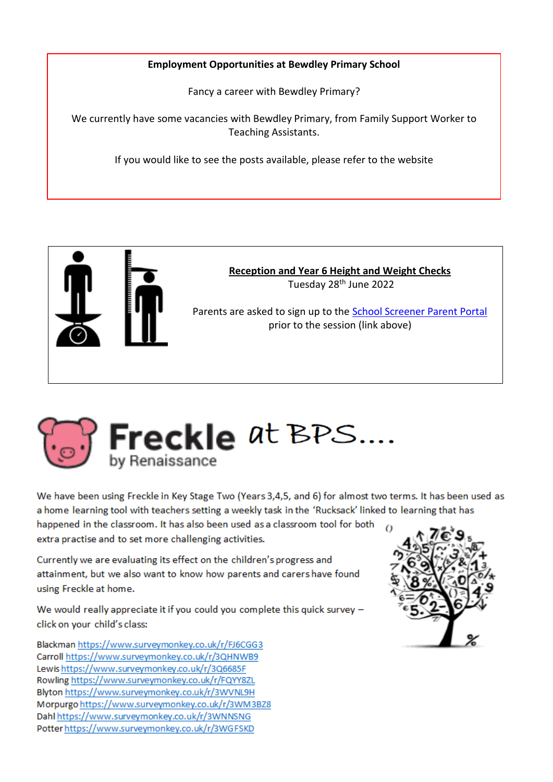# **Employment Opportunities at Bewdley Primary School**

Fancy a career with Bewdley Primary?

We currently have some vacancies with Bewdley Primary, from Family Support Worker to Teaching Assistants.

If you would like to see the posts available, please refer to the website





We have been using Freckle in Key Stage Two (Years 3,4,5, and 6) for almost two terms. It has been used as a home learning tool with teachers setting a weekly task in the 'Rucksack' linked to learning that has happened in the classroom. It has also been used as a classroom tool for both extra practise and to set more challenging activities.

Currently we are evaluating its effect on the children's progress and attainment, but we also want to know how parents and carers have found using Freckle at home.

We would really appreciate it if you could you complete this quick survey click on your child's class:

Blackman https://www.surveymonkey.co.uk/r/FJ6CGG3 Carroll https://www.surveymonkey.co.uk/r/3QHNWB9 Lewishttps://www.surveymonkey.co.uk/r/3Q6685F Rowling https://www.surveymonkey.co.uk/r/FQYY8ZL Blyton https://www.surveymonkey.co.uk/r/3WVNL9H Morpurgo https://www.surveymonkey.co.uk/r/3WM3BZ8 Dahl https://www.surveymonkey.co.uk/r/3WNNSNG Potter https://www.surveymonkey.co.uk/r/3WGFSKD

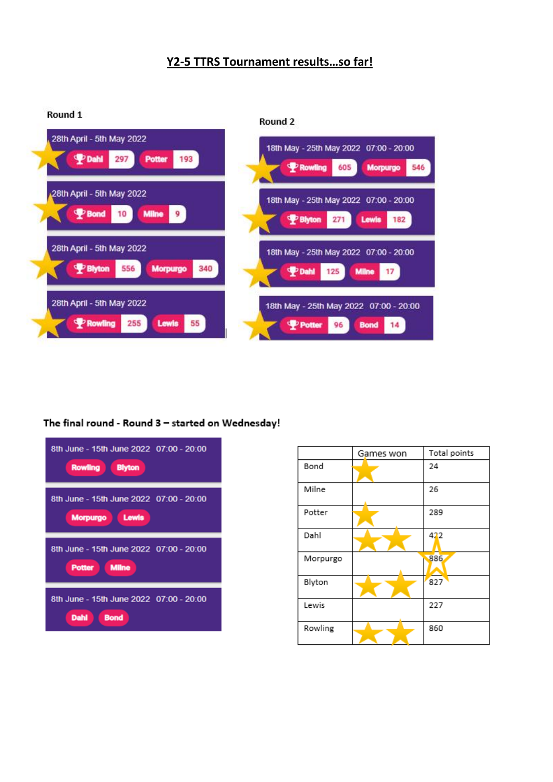# **Y2-5 TTRS Tournament results…so far!**

| Round 1                   | Round 2                                |
|---------------------------|----------------------------------------|
| 28th April - 5th May 2022 | 18th May - 25th May 2022 07:00 - 20:00 |
| PDahl                     | <b>P</b> Rowling                       |
| <b>Potter</b>             | <b>Morpurgo</b>                        |
| 297                       | 546                                    |
| 193                       | 605                                    |
| 28th April - 5th May 2022 | 18th May - 25th May 2022 07:00 - 20:00 |
| <b>P</b> Bond             | <b>P</b> Blyton                        |
| <b>Milne</b>              | Lewis                                  |
| 10                        | 271                                    |
| 9                         | 182                                    |
| 28th April - 5th May 2022 | 18th May - 25th May 2022 07:00 - 20:00 |
| <b>P</b> Blyton           | <b>P</b> Dahl                          |
| <b>Morpurgo</b>           | <b>Milne</b>                           |
| 556                       | 125                                    |
| 340                       | 17                                     |
| 28th April - 5th May 2022 | 18th May - 25th May 2022 07:00 - 20:00 |
| <b>P</b> Rowling          | Potter                                 |
| 255                       | <b>Bond</b>                            |
| Lewis                     | 96                                     |
| 55                        | 14                                     |

# The final round - Round 3 - started on Wednesday!



|          | Games won | Total points |
|----------|-----------|--------------|
| Bond     |           | 24           |
| Milne    |           | 26           |
| Potter   |           | 289          |
| Dahl     |           | 422          |
| Morpurgo |           | 886          |
| Blyton   |           | 827          |
| Lewis    |           | 227          |
| Rowling  |           | 860          |